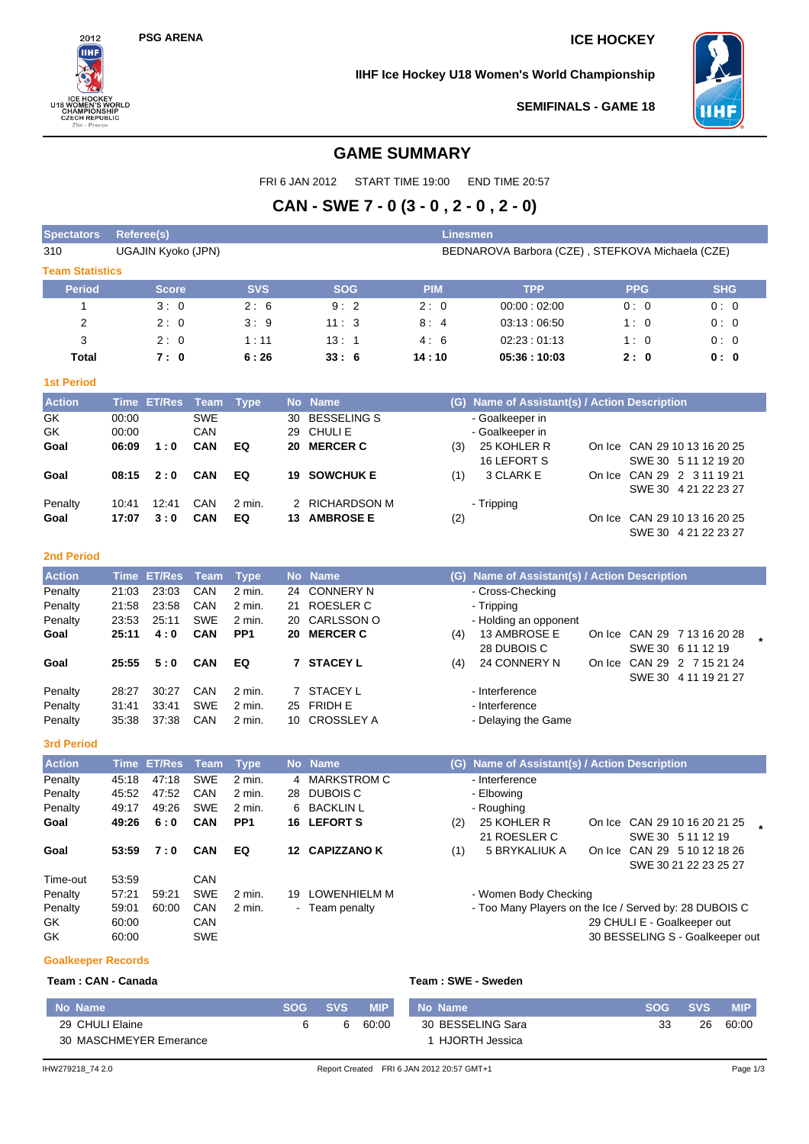$2012$ HН

**BUCKET<br>
8 WOMEN'S WORK**<br> **CHAMPIONSHIP**<br>
CZECH REPUBLIC<br>
Zlin - Prerov

ORLD

## **PSG ARENA ICE HOCKEY**

**IIHF Ice Hockey U18 Women's World Championship**



SWE 30 4 21 22 23 27

**SEMIFINALS - GAME 18**

## **GAME SUMMARY**

FRI 6 JAN 2012 START TIME 19:00 END TIME 20:57

# **CAN - SWE 7 - 0 (3 - 0 , 2 - 0 , 2 - 0)**

| <b>Spectators</b>      |             | <b>Referee(s)</b>  |            | Linesmen    |    |                    |            |                                                  |        |               |                       |  |  |
|------------------------|-------------|--------------------|------------|-------------|----|--------------------|------------|--------------------------------------------------|--------|---------------|-----------------------|--|--|
| 310                    |             | UGAJIN Kyoko (JPN) |            |             |    |                    |            | BEDNAROVA Barbora (CZE), STEFKOVA Michaela (CZE) |        |               |                       |  |  |
| <b>Team Statistics</b> |             |                    |            |             |    |                    |            |                                                  |        |               |                       |  |  |
| <b>Period</b>          |             | <b>Score</b>       |            | <b>SVS</b>  |    | <b>SOG</b>         | <b>PIM</b> | <b>TPP</b>                                       |        | <b>PPG</b>    | <b>SHG</b>            |  |  |
|                        |             | 3:0                |            | 2:6         |    | 9:2                | 2:0        | 00:00:02:00                                      |        | 0:0           | 0:0                   |  |  |
| $\overline{2}$         |             | 2:0                |            | 3:9         |    | 11:3               | 8:4        | 03:13:06:50                                      |        | 1:0           | 0:0                   |  |  |
| 3                      |             | 2:0                |            | 1:11        |    | 13:1               | 4:6        | 02:23:01:13                                      |        | 1:0           | 0:0                   |  |  |
| <b>Total</b>           |             | 7:0                |            | 6:26        |    | 33:6               | 14:10      | 05:36:10:03                                      |        | 2:0           | 0: 0                  |  |  |
| <b>1st Period</b>      |             |                    |            |             |    |                    |            |                                                  |        |               |                       |  |  |
| <b>Action</b>          | <b>Time</b> | <b>ET/Res</b>      | Team       | <b>Type</b> |    | No Name            | (G)        | Name of Assistant(s) / Action Description        |        |               |                       |  |  |
| GK                     | 00:00       |                    | <b>SWE</b> |             | 30 | <b>BESSELING S</b> |            | - Goalkeeper in                                  |        |               |                       |  |  |
| GK                     | 00:00       |                    | CAN        |             | 29 | CHULI E            |            | - Goalkeeper in                                  |        |               |                       |  |  |
| Goal                   | 06:09       | 1:0                | <b>CAN</b> | EQ          | 20 | <b>MERCER C</b>    | (3)        | 25 KOHLER R                                      | On Ice |               | CAN 29 10 13 16 20 25 |  |  |
|                        |             |                    |            |             |    |                    |            | 16 LEFORT S                                      |        |               | SWE 30 5 11 12 19 20  |  |  |
| Goal                   | 08:15       | 2:0                | <b>CAN</b> | EQ          | 19 | <b>SOWCHUK E</b>   | (1)        | 3 CLARK E                                        | On Ice | <b>CAN 29</b> | 2 3 11 19 21          |  |  |
| Penalty                | 10:41       | 12:41              | CAN        | 2 min.      |    | 2 RICHARDSON M     |            | - Tripping                                       |        |               | SWE 30 4 21 22 23 27  |  |  |

#### **2nd Period**

| <b>Action</b> |       | <u>'Time</u> ET/Res Team, |            | <b>Type</b>     |    | No Name         | (G) | Name of Assistant(s) / Action Description |  |                             |  |
|---------------|-------|---------------------------|------------|-----------------|----|-----------------|-----|-------------------------------------------|--|-----------------------------|--|
| Penalty       | 21:03 | 23:03                     | <b>CAN</b> | 2 min.          |    | 24 CONNERY N    |     | - Cross-Checking                          |  |                             |  |
| Penalty       | 21:58 | 23:58                     | <b>CAN</b> | $2$ min.        | 21 | ROESLER C       |     | - Tripping                                |  |                             |  |
| Penalty       | 23:53 | 25:11                     | SWE        | 2 min.          |    | 20 CARLSSON O   |     | - Holding an opponent                     |  |                             |  |
| Goal          | 25:11 | 4:0                       | <b>CAN</b> | PP <sub>1</sub> | 20 | <b>MERCER C</b> | (4) | 13 AMBROSE E                              |  | On Ice CAN 29 7 13 16 20 28 |  |
|               |       |                           |            |                 |    |                 |     | 28 DUBOIS C                               |  | SWE 30 6 11 12 19           |  |
| Goal          | 25:55 | 5:0                       | <b>CAN</b> | EQ              |    | <b>STACEY L</b> | (4) | 24 CONNERY N                              |  | On Ice CAN 29 2 7 15 21 24  |  |
|               |       |                           |            |                 |    |                 |     |                                           |  | SWE 30 4 11 19 21 27        |  |
| Penalty       | 28:27 | 30:27                     | CAN        | 2 min.          |    | 7 STACEY L      |     | - Interference                            |  |                             |  |
| Penalty       | 31:41 | 33:41                     | SWE        | 2 min.          |    | 25 FRIDH E      |     | - Interference                            |  |                             |  |
| Penalty       | 35.38 | 37:38                     | CAN        | 2 min.          |    | 10 CROSSLEY A   |     | - Delaying the Game                       |  |                             |  |

**Goal** 17:07 3:0 CAN EQ 13 AMBROSE E (2) CAN COME CAN 29 10 13 16 20 25

**3rd Period**

| <b>Action</b> |       | Time ET/Res Team |            | <b>Type</b>     |    | No Name        | (G) | Name of Assistant(s) / Action Description |        |                                                        |  |
|---------------|-------|------------------|------------|-----------------|----|----------------|-----|-------------------------------------------|--------|--------------------------------------------------------|--|
| Penalty       | 45:18 | 47:18            | <b>SWE</b> | 2 min.          |    | 4 MARKSTROM C  |     | - Interference                            |        |                                                        |  |
| Penalty       | 45:52 | 47:52            | CAN        | 2 min.          | 28 | DUBOIS C       |     | - Elbowing                                |        |                                                        |  |
| Penalty       | 49:17 | 49:26            | <b>SWE</b> | 2 min.          |    | 6 BACKLIN L    |     | - Roughing                                |        |                                                        |  |
| Goal          | 49:26 | 6:0              | <b>CAN</b> | PP <sub>1</sub> |    | 16 LEFORT S    | (2) | 25 KOHLER R                               | On Ice | CAN 29 10 16 20 21 25                                  |  |
|               |       |                  |            |                 |    |                |     | 21 ROESLER C                              |        | SWE 30 5 11 12 19                                      |  |
| Goal          | 53:59 | 7:0              | CAN        | EQ              |    | 12 CAPIZZANO K | (1) | 5 BRYKALIUK A                             | On Ice | CAN 29 5 10 12 18 26                                   |  |
|               |       |                  |            |                 |    |                |     |                                           |        | SWE 30 21 22 23 25 27                                  |  |
| Time-out      | 53.59 |                  | CAN        |                 |    |                |     |                                           |        |                                                        |  |
| Penalty       | 57:21 | 59:21            | <b>SWE</b> | 2 min.          | 19 | LOWENHIELM M   |     | - Women Body Checking                     |        |                                                        |  |
| Penalty       | 59:01 | 60:00            | CAN        | 2 min.          |    | - Team penalty |     |                                           |        | - Too Many Players on the Ice / Served by: 28 DUBOIS C |  |
| GK            | 60:00 |                  | CAN        |                 |    |                |     |                                           |        | 29 CHULI E - Goalkeeper out                            |  |
| GK            | 60:00 |                  | <b>SWE</b> |                 |    |                |     |                                           |        | 30 BESSELING S - Goalkeeper out                        |  |

#### **Goalkeeper Records**

### **Team : CAN - Canada**

|  |  | Feam : SWE - Sweden |
|--|--|---------------------|
|  |  |                     |

| No Name                | SOG. | <b>SVS</b> | <b>MIP</b> | No Name           | SOG. | <b>SVS</b> | <b>MIP</b> |
|------------------------|------|------------|------------|-------------------|------|------------|------------|
| 29 CHULI Elaine        |      | 6          | 60:00      | 30 BESSELING Sara | 33   | 26         | 60:00      |
| 30 MASCHMEYER Emerance |      |            |            | 1 HJORTH Jessica  |      |            |            |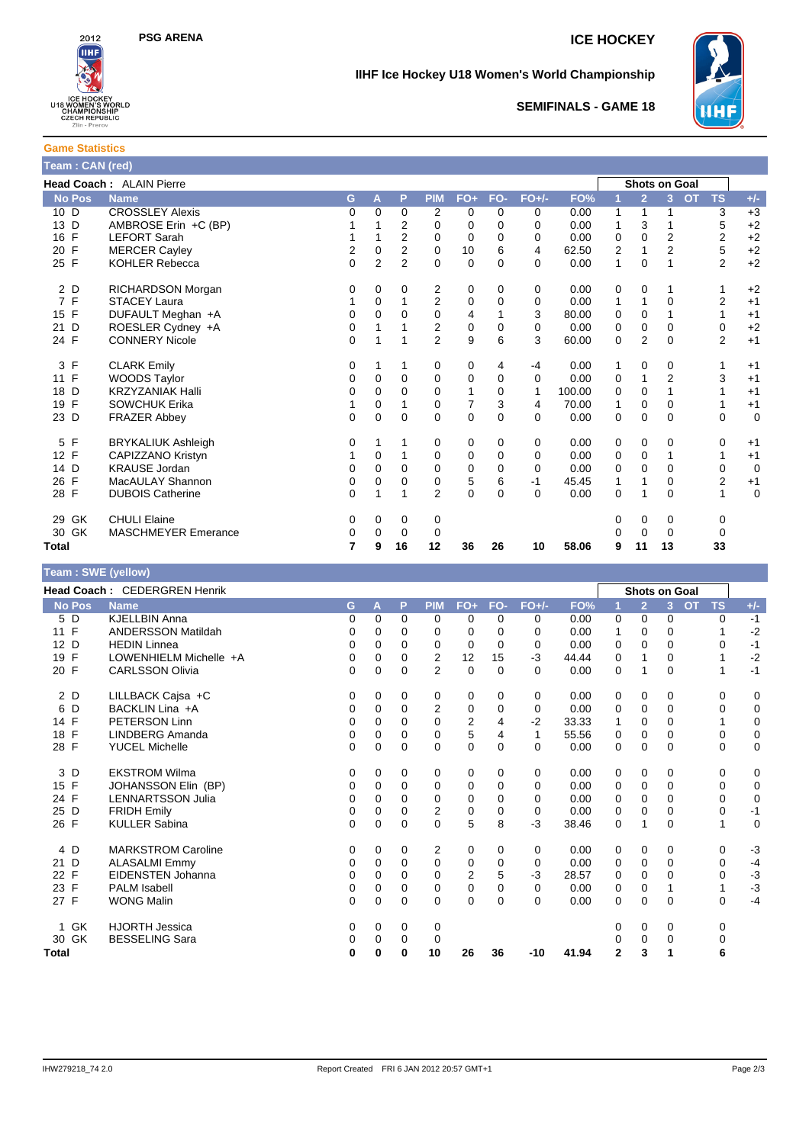

## **IIHF Ice Hockey U18 Women's World Championship**



**SEMIFINALS - GAME 18**

## **Game Statistics Team : CAN (red)**

|                    | Head Coach: ALAIN Pierre   |                |                |                |                |                |              |          |        |   |                | <b>Shots on Goal</b> |                        |             |
|--------------------|----------------------------|----------------|----------------|----------------|----------------|----------------|--------------|----------|--------|---|----------------|----------------------|------------------------|-------------|
| <b>No Pos</b>      | <b>Name</b>                | G.             | A              | P              | <b>PIM</b>     | $FO+$          | FO-          | $FO+/-$  | FO%    |   | $\overline{2}$ | 3 <sup>1</sup>       | <b>OT</b><br><b>TS</b> | $+/-$       |
| 10 D               | <b>CROSSLEY Alexis</b>     | 0              | $\Omega$       | $\Omega$       | 2              | 0              | $\Omega$     | $\Omega$ | 0.00   | 1 | 1              |                      | 3                      | $+3$        |
| 13 D               | AMBROSE Erin +C (BP)       |                |                | 2              | 0              | 0              | 0            | $\Omega$ | 0.00   | 1 | 3              |                      | 5                      | $+2$        |
| $\mathsf{F}$<br>16 | <b>LEFORT Sarah</b>        | 1              |                | $\overline{2}$ | 0              | 0              | $\Omega$     | 0        | 0.00   | 0 | 0              | 2                    | 2                      | $+2$        |
| F<br>20            | <b>MERCER Cayley</b>       | 2              | 0              | 2              | 0              | 10             | 6            | 4        | 62.50  | 2 | 1              | 2                    | 5                      | $+2$        |
| 25 F               | <b>KOHLER Rebecca</b>      | $\overline{0}$ | $\overline{2}$ | $\overline{2}$ | $\Omega$       | 0              | $\mathbf{0}$ | $\Omega$ | 0.00   | 1 | $\mathbf 0$    |                      | 2                      | $+2$        |
| 2 D                | RICHARDSON Morgan          | 0              | 0              | 0              | 2              | 0              | 0            | 0        | 0.00   | 0 | 0              |                      |                        | $+2$        |
| 7 F                | <b>STACEY Laura</b>        |                | $\Omega$       |                | $\overline{2}$ | 0              | $\Omega$     | $\Omega$ | 0.00   | 1 | 1              | $\Omega$             | $\overline{2}$         | $+1$        |
| 15 F               | DUFAULT Meghan +A          | 0              | $\Omega$       | 0              | $\mathbf 0$    | 4              |              | 3        | 80.00  | 0 | $\mathbf 0$    |                      | 1                      | $+1$        |
| D<br>21            | ROESLER Cydney +A          | 0              |                |                | 2              | 0              | $\Omega$     | $\Omega$ | 0.00   | 0 | 0              | 0                    | 0                      | $+2$        |
| 24 F               | <b>CONNERY Nicole</b>      | 0              | 1              |                | $\overline{2}$ | 9              | 6            | 3        | 60.00  | 0 | $\overline{2}$ | $\Omega$             | $\overline{2}$         | $+1$        |
| F<br>3             | <b>CLARK Emily</b>         | 0              |                | 1              | 0              | 0              | 4            | -4       | 0.00   | 1 | 0              | 0                    |                        | $+1$        |
| $\mathsf{F}$<br>11 | <b>WOODS Taylor</b>        | 0              | 0              | $\mathbf 0$    | $\mathbf 0$    | 0              | 0            | $\Omega$ | 0.00   | 0 | 1              | $\overline{2}$       | 3                      | $+1$        |
| D<br>18            | <b>KRZYZANIAK Halli</b>    | 0              | $\Omega$       | $\Omega$       | 0              | 1              | $\Omega$     | 1        | 100.00 | 0 | 0              |                      |                        | $+1$        |
| $\mathsf{F}$<br>19 | <b>SOWCHUK Erika</b>       |                | 0              |                | 0              | $\overline{7}$ | 3            | 4        | 70.00  | 1 | 0              | 0                    |                        | $+1$        |
| 23 D               | <b>FRAZER Abbey</b>        | 0              | $\Omega$       | $\Omega$       | $\Omega$       | 0              | $\Omega$     | $\Omega$ | 0.00   | 0 | 0              | $\Omega$             | 0                      | $\mathbf 0$ |
| $\mathsf{F}$<br>5  | <b>BRYKALIUK Ashleigh</b>  | 0              |                |                | 0              | 0              | 0            | 0        | 0.00   | 0 | 0              | 0                    | 0                      | $+1$        |
| $\mathsf{F}$<br>12 | CAPIZZANO Kristyn          |                | 0              |                | $\mathbf 0$    | 0              | $\Omega$     | 0        | 0.00   | 0 | 0              |                      | 1                      | $+1$        |
| 14 D               | <b>KRAUSE Jordan</b>       | 0              | 0              | 0              | 0              | 0              | $\Omega$     | $\Omega$ | 0.00   | 0 | 0              | 0                    | 0                      | $\mathbf 0$ |
| $\mathsf{F}$<br>26 | MacAULAY Shannon           | 0              | $\Omega$       | $\Omega$       | $\mathbf 0$    | 5              | 6            | $-1$     | 45.45  | 1 | 1              | $\Omega$             | $\overline{2}$         | $+1$        |
| 28 F               | <b>DUBOIS Catherine</b>    | 0              | 1              |                | $\overline{2}$ | 0              | $\Omega$     | $\Omega$ | 0.00   | 0 | 1              | $\Omega$             | 1                      | $\mathbf 0$ |
| 29 GK              | <b>CHULI Elaine</b>        | 0              | 0              | 0              | 0              |                |              |          |        | 0 | 0              | 0                    | 0                      |             |
| 30 GK              | <b>MASCHMEYER Emerance</b> | 0              | $\Omega$       | 0              | 0              |                |              |          |        | 0 | $\mathbf 0$    | 0                    | 0                      |             |
| Total              |                            | 7              | 9              | 16             | 12             | 36             | 26           | 10       | 58.06  | 9 | 11             | 13                   | 33                     |             |
|                    |                            |                |                |                |                |                |              |          |        |   |                |                      |                        |             |

| Team: SWE (yellow)       |                              |   |          |             |                |                |             |              |       |          |                      |                |           |             |             |
|--------------------------|------------------------------|---|----------|-------------|----------------|----------------|-------------|--------------|-------|----------|----------------------|----------------|-----------|-------------|-------------|
|                          | Head Coach: CEDERGREN Henrik |   |          |             |                |                |             |              |       |          | <b>Shots on Goal</b> |                |           |             |             |
| <b>No Pos</b>            | <b>Name</b>                  | G | A        | P           | <b>PIM</b>     | $FO+$          | FO-         | $FO+/-$      | FO%   | 1        | $\overline{2}$       | $\overline{3}$ | <b>OT</b> | <b>TS</b>   | $+/-$       |
| $5\overline{D}$          | <b>KJELLBIN Anna</b>         | 0 | $\Omega$ | 0           | 0              | 0              | $\Omega$    | 0            | 0.00  | 0        | $\Omega$             | $\Omega$       |           | 0           | $-1$        |
| 11 F                     | ANDERSSON Matildah           | 0 | 0        | 0           | 0              | 0              | $\Omega$    | $\Omega$     | 0.00  | 1        | 0                    | $\Omega$       |           |             | $-2$        |
| 12 D                     | <b>HEDIN Linnea</b>          | 0 | $\Omega$ | $\Omega$    | $\mathbf 0$    | 0              | $\Omega$    | 0            | 0.00  | 0        | $\Omega$             | $\Omega$       |           | 0           | $-1$        |
| $\mathsf{F}$<br>19       | LOWENHIELM Michelle +A       | 0 | 0        | 0           | 2              | 12             | 15          | $-3$         | 44.44 | 0        | 1                    | 0              |           |             | $-2$        |
| 20 F                     | <b>CARLSSON Olivia</b>       | 0 | $\Omega$ | $\Omega$    | $\overline{2}$ | $\Omega$       | $\Omega$    | $\Omega$     | 0.00  | 0        | 1                    | $\Omega$       |           | 1           | $-1$        |
| 2 D                      | LILLBACK Cajsa +C            | 0 | 0        | 0           | 0              | 0              | $\Omega$    | 0            | 0.00  | 0        | 0                    | 0              |           | $\Omega$    | 0           |
| 6<br>D                   | BACKLIN Lina +A              | 0 | 0        | $\Omega$    | $\overline{2}$ | 0              | $\Omega$    | 0            | 0.00  | 0        | 0                    | $\Omega$       |           | 0           | $\pmb{0}$   |
| 14 F                     | PETERSON Linn                | 0 | $\Omega$ | $\Omega$    | $\mathbf 0$    | $\overline{2}$ | 4           | $-2$         | 33.33 | 1        | 0                    | $\Omega$       |           | 1           | 0           |
| $\mathsf{F}$<br>18       | <b>LINDBERG Amanda</b>       | 0 | 0        | 0           | 0              | 5              | 4           | $\mathbf{1}$ | 55.56 | 0        | 0                    | $\Omega$       |           | 0           | $\pmb{0}$   |
| 28 F                     | <b>YUCEL Michelle</b>        | 0 | $\Omega$ | $\Omega$    | $\mathbf{0}$   | $\Omega$       | $\Omega$    | $\Omega$     | 0.00  | $\Omega$ | $\Omega$             | $\Omega$       |           | $\Omega$    | $\mathbf 0$ |
| 3 D                      | <b>EKSTROM Wilma</b>         | 0 | 0        | 0           | 0              | 0              | 0           | 0            | 0.00  | 0        | 0                    | 0              |           | 0           | 0           |
| 15 F                     | JOHANSSON Elin (BP)          | 0 | 0        | 0           | 0              | 0              | 0           | 0            | 0.00  | 0        | 0                    | $\Omega$       |           | $\mathbf 0$ | $\mathbf 0$ |
| 24 F                     | <b>LENNARTSSON Julia</b>     | 0 | $\Omega$ | $\Omega$    | 0              | 0              | $\Omega$    | $\Omega$     | 0.00  | 0        | $\Omega$             | $\Omega$       |           | $\Omega$    | $\mathbf 0$ |
| 25 D                     | <b>FRIDH Emily</b>           | 0 | 0        | 0           | $\overline{2}$ | 0              | $\mathbf 0$ | 0            | 0.00  | 0        | $\Omega$             | $\Omega$       |           | 0           | $-1$        |
| 26 F                     | <b>KULLER Sabina</b>         | 0 | $\Omega$ | $\Omega$    | $\Omega$       | 5              | 8           | $-3$         | 38.46 | 0        | 1                    | $\Omega$       |           | 1           | $\mathbf 0$ |
| 4 D                      | <b>MARKSTROM Caroline</b>    | 0 | 0        | 0           | 2              | 0              | 0           | 0            | 0.00  | 0        | 0                    | 0              |           | $\mathbf 0$ | $-3$        |
| D<br>21                  | <b>ALASALMI Emmy</b>         | 0 | $\Omega$ | $\Omega$    | $\mathbf 0$    | 0              | $\Omega$    | $\Omega$     | 0.00  | 0        | 0                    | $\Omega$       |           | $\Omega$    | $-4$        |
| 22 F                     | EIDENSTEN Johanna            | 0 | 0        | $\Omega$    | $\Omega$       | $\overline{2}$ | 5           | $-3$         | 28.57 | 0        | $\Omega$             | $\Omega$       |           | $\Omega$    | $-3$        |
| 23 F                     | <b>PALM Isabell</b>          | 0 | $\Omega$ | $\Omega$    | 0              | 0              | 0           | 0            | 0.00  | 0        | 0                    | 1              |           | 1           | $-3$        |
| 27 F                     | <b>WONG Malin</b>            | 0 | 0        | $\mathbf 0$ | 0              | 0              | $\Omega$    | $\Omega$     | 0.00  | 0        | $\mathbf 0$          | $\Omega$       |           | 0           | $-4$        |
| <b>GK</b><br>$\mathbf 1$ | <b>HJORTH Jessica</b>        | 0 | 0        | 0           | 0              |                |             |              |       | 0        | 0                    | 0              |           | 0           |             |
| 30 GK                    | <b>BESSELING Sara</b>        | 0 | 0        | 0           | 0              |                |             |              |       | 0        | $\Omega$             | 0              |           | 0           |             |
| Total                    |                              | 0 | 0        | 0           | 10             | 26             | 36          | $-10$        | 41.94 | 2        | 3                    | 1              |           | 6           |             |